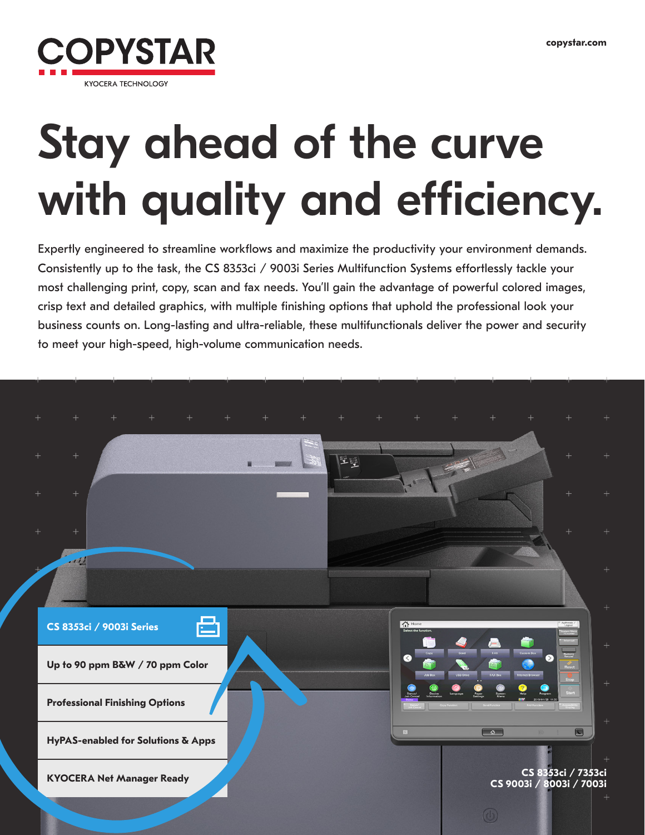

# Stay ahead of the curve with quality and efficiency.

Expertly engineered to streamline workflows and maximize the productivity your environment demands. Consistently up to the task, the CS 8353ci / 9003i Series Multifunction Systems effortlessly tackle your most challenging print, copy, scan and fax needs. You'll gain the advantage of powerful colored images, crisp text and detailed graphics, with multiple finishing options that uphold the professional look your business counts on. Long-lasting and ultra-reliable, these multifunctionals deliver the power and security to meet your high-speed, high-volume communication needs.

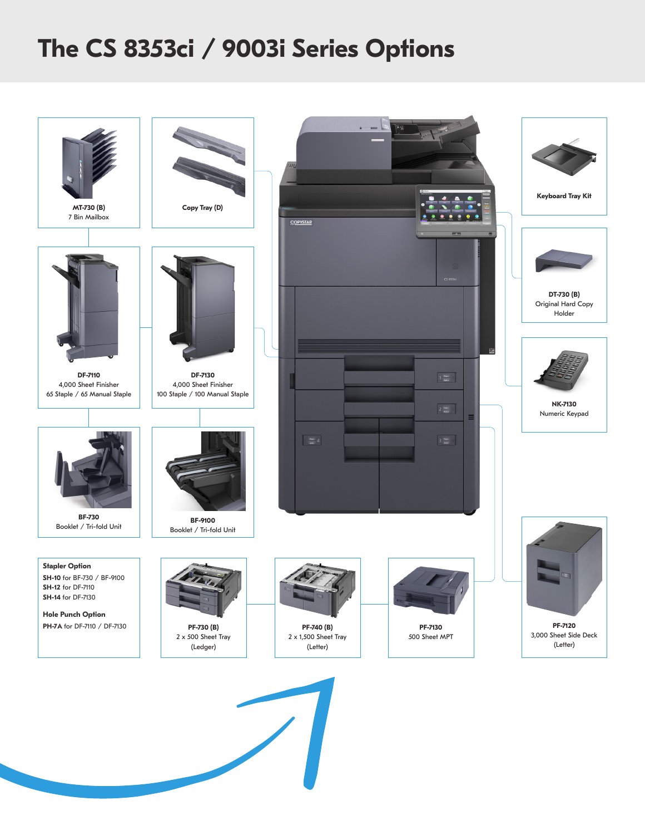## **The CS 8353ci / 9003i Series Options**

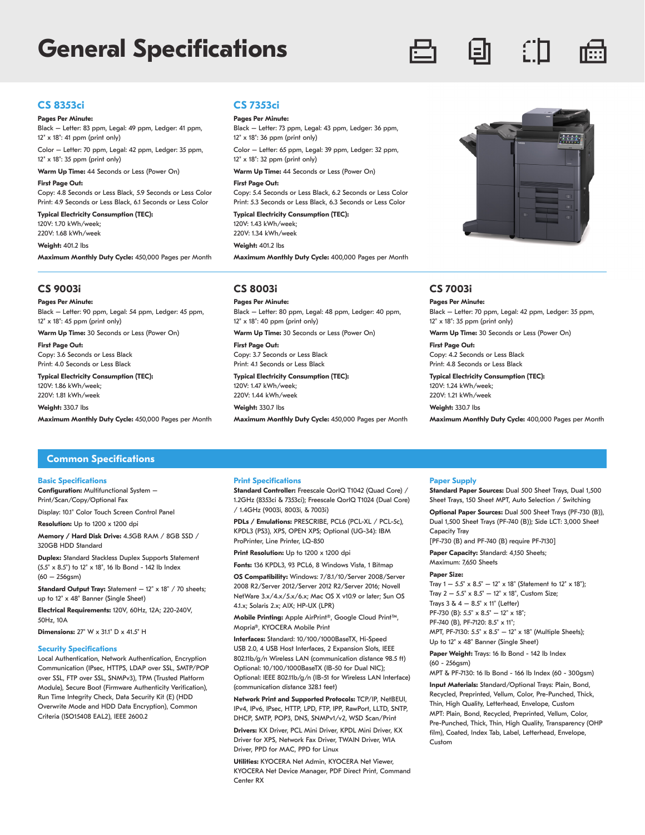### **General Specifications**



### **CS 8353ci**

#### **Pages Per Minute:**

Black – Letter: 83 ppm, Legal: 49 ppm, Ledger: 41 ppm, 12" x 18": 41 ppm (print only)

Color – Letter: 70 ppm, Legal: 42 ppm, Ledger: 35 ppm, 12" x 18": 35 ppm (print only)

**Warm Up Time:** 44 Seconds or Less (Power On)

#### **First Page Out:**

Copy: 4.8 Seconds or Less Black, 5.9 Seconds or Less Color Print: 4.9 Seconds or Less Black, 6.1 Seconds or Less Color

**Typical Electricity Consumption (TEC):** 120V: 1.70 kWh/week;

220V: 1.68 kWh/week

#### **Weight:** 401.2 lbs

**Maximum Monthly Duty Cycle:** 450,000 Pages per Month

#### **CS 9003i**

**Pages Per Minute:**

Black – Letter: 90 ppm, Legal: 54 ppm, Ledger: 45 ppm, 12" x 18": 45 ppm (print only)

**Warm Up Time:** 30 Seconds or Less (Power On)

**First Page Out:**  Copy: 3.6 Seconds or Less Black Print: 4.0 Seconds or Less Black

**Typical Electricity Consumption (TEC):** 120V: 1.86 kWh/week; 220V: 1.81 kWh/week

**Weight:** 330.7 lbs

**Maximum Monthly Duty Cycle:** 450,000 Pages per Month

#### **CS 7353ci**

#### **Pages Per Minute:**

Black – Letter: 73 ppm, Legal: 43 ppm, Ledger: 36 ppm, 12" x 18": 36 ppm (print only)

Color – Letter: 65 ppm, Legal: 39 ppm, Ledger: 32 ppm, 12" x 18": 32 ppm (print only)

**Warm Up Time:** 44 Seconds or Less (Power On)

#### **First Page Out:**

Copy: 5.4 Seconds or Less Black, 6.2 Seconds or Less Color Print: 5.3 Seconds or Less Black, 6.3 Seconds or Less Color

**Typical Electricity Consumption (TEC):** 120V: 1.43 kWh/week; 220V: 1.34 kWh/week

**Weight:** 401.2 lbs

**Maximum Monthly Duty Cycle:** 400,000 Pages per Month

#### **CS 8003i**

**Pages Per Minute:** Black – Letter: 80 ppm, Legal: 48 ppm, Ledger: 40 ppm, 12" x 18": 40 ppm (print only)

**Warm Up Time:** 30 Seconds or Less (Power On) **First Page Out:**

Copy: 3.7 Seconds or Less Black Print: 4.1 Seconds or Less Black

**Typical Electricity Consumption (TEC):** 120V: 1.47 kWh/week; 220V: 1.44 kWh/week **Weight:** 330.7 lbs

**Maximum Monthly Duty Cycle:** 450,000 Pages per Month



#### **CS 7003i**

**Pages Per Minute:** Black – Letter: 70 ppm, Legal: 42 ppm, Ledger: 35 ppm, 12" x 18": 35 ppm (print only)

**Warm Up Time:** 30 Seconds or Less (Power On)

**First Page Out:** Copy: 4.2 Seconds or Less Black Print: 4.8 Seconds or Less Black

**Typical Electricity Consumption (TEC):** 120V: 1.24 kWh/week; 220V: 1.21 kWh/week

**Weight:** 330.7 lbs

**Maximum Monthly Duty Cycle:** 400,000 Pages per Month

#### **Common Specifications**

#### **Basic Specifications**

**Configuration:** Multifunctional System – Print/Scan/Copy/Optional Fax

Display: 10.1" Color Touch Screen Control Panel

**Resolution:** Up to 1200 x 1200 dpi

**Memory / Hard Disk Drive:** 4.5GB RAM / 8GB SSD / 320GB HDD Standard

**Duplex:** Standard Stackless Duplex Supports Statement (5.5" x 8.5") to 12" x 18", 16 lb Bond - 142 lb Index  $(60 - 256$ gsm $)$ 

**Standard Output Tray:** Statement - 12" x 18" / 70 sheets; up to 12" x 48" Banner (Single Sheet)

**Electrical Requirements:** 120V, 60Hz, 12A; 220-240V, 50Hz, 10A

**Dimensions:** 27" W x 31.1" D x 41.5" H

#### **Security Specifications**

Local Authentication, Network Authentication, Encryption Communication (IPsec, HTTPS, LDAP over SSL, SMTP/POP over SSL, FTP over SSL, SNMPv3), TPM (Trusted Platform Module), Secure Boot (Firmware Authenticity Verification), Run Time Integrity Check, Data Security Kit (E) (HDD Overwrite Mode and HDD Data Encryption), Common Criteria (ISO15408 EAL2), IEEE 2600.2

#### **Print Specifications**

**Standard Controller:** Freescale QorIQ T1042 (Quad Core) / 1.2GHz (8353ci & 7353ci); Freescale QorIQ T1024 (Dual Core) / 1.4GHz (9003i, 8003i, & 7003i)

**PDLs / Emulations:** PRESCRIBE, PCL6 (PCL-XL / PCL-5c), KPDL3 (PS3), XPS, OPEN XPS; Optional (UG-34): IBM ProPrinter, Line Printer, LQ-850

**Print Resolution:** Up to 1200 x 1200 dpi

**Fonts:** 136 KPDL3, 93 PCL6, 8 Windows Vista, 1 Bitmap

**OS Compatibility:** Windows: 7/8.1/10/Server 2008/Server 2008 R2/Server 2012/Server 2012 R2/Server 2016; Novell NetWare 3.x/4.x/5.x/6.x; Mac OS X v10.9 or later; Sun OS 4.1.x; Solaris 2.x; AIX; HP-UX (LPR)

**Mobile Printing:** Apple AirPrint®, Google Cloud Print™, Mopria®, KYOCERA Mobile Print

**Interfaces:** Standard: 10/100/1000BaseTX, Hi-Speed USB 2.0, 4 USB Host Interfaces, 2 Expansion Slots, IEEE 802.11b/g/n Wireless LAN (communication distance 98.5 ft) Optional: 10/100/1000BaseTX (IB-50 for Dual NIC); Optional: IEEE 802.11b/g/n (IB-51 for Wireless LAN Interface) (communication distance 328.1 feet)

**Network Print and Supported Protocols:** TCP/IP, NetBEUI, IPv4, IPv6, IPsec, HTTP, LPD, FTP, IPP, RawPort, LLTD, SNTP, DHCP, SMTP, POP3, DNS, SNMPv1/v2, WSD Scan/Print

**Drivers:** KX Driver, PCL Mini Driver, KPDL Mini Driver, KX Driver for XPS, Network Fax Driver, TWAIN Driver, WIA Driver, PPD for MAC, PPD for Linux

**Utilities:** KYOCERA Net Admin, KYOCERA Net Viewer, KYOCERA Net Device Manager, PDF Direct Print, Command Center RX

#### **Paper Supply**

**Standard Paper Sources:** Dual 500 Sheet Trays, Dual 1,500 Sheet Trays, 150 Sheet MPT, Auto Selection / Switching

**Optional Paper Sources:** Dual 500 Sheet Trays (PF-730 (B)), Dual 1,500 Sheet Trays (PF-740 (B)); Side LCT: 3,000 Sheet Capacity Tray

[PF-730 (B) and PF-740 (B) require PF-7130]

**Paper Capacity:** Standard: 4,150 Sheets; Maximum: 7,650 Sheets

#### **Paper Size:**

Tray  $1 - 5.5$ " x  $8.5$ "  $- 12$ " x  $18$ " (Statement to  $12$ " x  $18$ "); Tray  $2 - 5.5$ " x  $8.5$ " – 12" x 18", Custom Size; Trays  $3 \& 4 - 8.5$ " x 11" (Letter) PF-730 (B): 5.5" x 8.5" - 12" x 18"; PF-740 (B), PF-7120: 8.5" x 11"; MPT, PF-7130: 5.5" x 8.5" – 12" x 18" (Multiple Sheets); Up to 12" x 48" Banner (Single Sheet)

Paper Weight: Trays: 16 lb Bond - 142 lb Index

(60 - 256gsm)

MPT & PF-7130: 16 lb Bond - 166 lb Index (60 - 300gsm)

**Input Materials:** Standard/Optional Trays: Plain, Bond, Recycled, Preprinted, Vellum, Color, Pre-Punched, Thick, Thin, High Quality, Letterhead, Envelope, Custom MPT: Plain, Bond, Recycled, Preprinted, Vellum, Color, Pre-Punched, Thick, Thin, High Quality, Transparency (OHP film), Coated, Index Tab, Label, Letterhead, Envelope, Custom